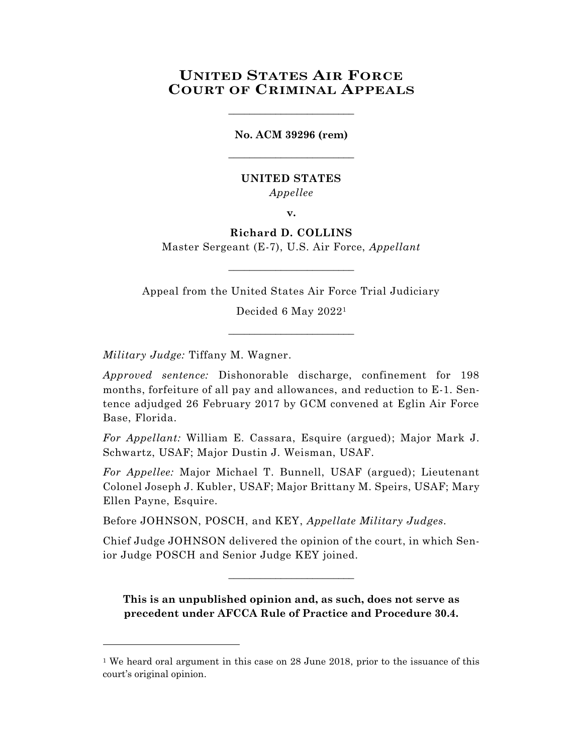# **UNITED STATES AIR FORCE COURT OF CRIMINAL APPEALS**

\_\_\_\_\_\_\_\_\_\_\_\_\_\_\_\_\_\_\_\_\_\_\_\_

# **No. ACM 39296 (rem)** \_\_\_\_\_\_\_\_\_\_\_\_\_\_\_\_\_\_\_\_\_\_\_\_

# **UNITED STATES** *Appellee*

**v.**

# **Richard D. COLLINS**

Master Sergeant (E-7), U.S. Air Force, *Appellant*  $\_$ 

Appeal from the United States Air Force Trial Judiciary

Decided 6 May 2022<sup>1</sup>

\_\_\_\_\_\_\_\_\_\_\_\_\_\_\_\_\_\_\_\_\_\_\_\_

*Military Judge:* Tiffany M. Wagner.

l

*Approved sentence:* Dishonorable discharge, confinement for 198 months, forfeiture of all pay and allowances, and reduction to E-1. Sentence adjudged 26 February 2017 by GCM convened at Eglin Air Force Base, Florida.

*For Appellant:* William E. Cassara, Esquire (argued); Major Mark J. Schwartz, USAF; Major Dustin J. Weisman, USAF.

*For Appellee:* Major Michael T. Bunnell, USAF (argued); Lieutenant Colonel Joseph J. Kubler, USAF; Major Brittany M. Speirs, USAF; Mary Ellen Payne, Esquire.

Before JOHNSON, POSCH, and KEY, *Appellate Military Judges.*

Chief Judge JOHNSON delivered the opinion of the court, in which Senior Judge POSCH and Senior Judge KEY joined.

 $\_$ 

**This is an unpublished opinion and, as such, does not serve as precedent under AFCCA Rule of Practice and Procedure 30.4.**

<sup>&</sup>lt;sup>1</sup> We heard oral argument in this case on 28 June 2018, prior to the issuance of this court's original opinion.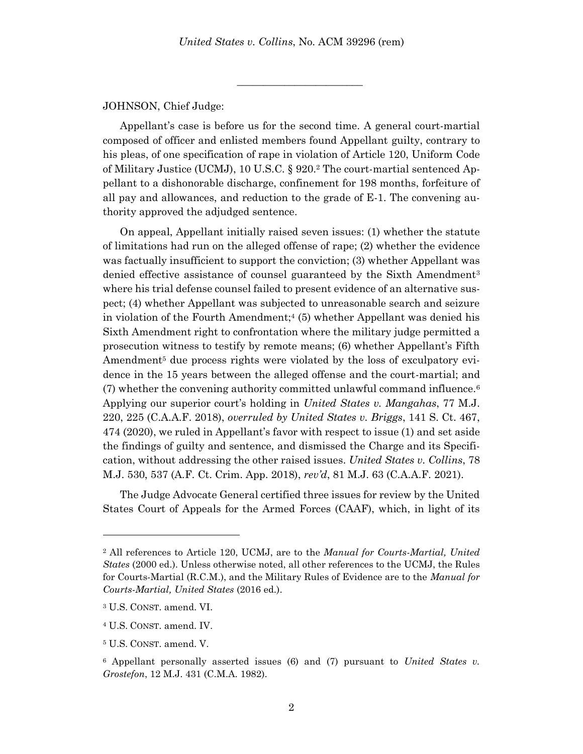\_\_\_\_\_\_\_\_\_\_\_\_\_\_\_\_\_\_\_\_\_\_\_\_

JOHNSON, Chief Judge:

Appellant's case is before us for the second time. A general court-martial composed of officer and enlisted members found Appellant guilty, contrary to his pleas, of one specification of rape in violation of Article 120, Uniform Code of Military Justice (UCMJ), 10 U.S.C. § 920.<sup>2</sup> The court-martial sentenced Appellant to a dishonorable discharge, confinement for 198 months, forfeiture of all pay and allowances, and reduction to the grade of E-1. The convening authority approved the adjudged sentence.

On appeal, Appellant initially raised seven issues: (1) whether the statute of limitations had run on the alleged offense of rape; (2) whether the evidence was factually insufficient to support the conviction; (3) whether Appellant was denied effective assistance of counsel guaranteed by the Sixth Amendment<sup>3</sup> where his trial defense counsel failed to present evidence of an alternative suspect; (4) whether Appellant was subjected to unreasonable search and seizure in violation of the Fourth Amendment;<sup>4</sup> (5) whether Appellant was denied his Sixth Amendment right to confrontation where the military judge permitted a prosecution witness to testify by remote means; (6) whether Appellant's Fifth Amendment<sup>5</sup> due process rights were violated by the loss of exculpatory evidence in the 15 years between the alleged offense and the court-martial; and  $(7)$  whether the convening authority committed unlawful command influence.<sup>6</sup> Applying our superior court's holding in *United States v. Mangahas*, 77 M.J. 220, 225 (C.A.A.F. 2018), *overruled by United States v. Briggs*, 141 S. Ct. 467, 474 (2020), we ruled in Appellant's favor with respect to issue (1) and set aside the findings of guilty and sentence, and dismissed the Charge and its Specification, without addressing the other raised issues. *United States v. Collins*, 78 M.J. 530, 537 (A.F. Ct. Crim. App. 2018), *rev'd*, 81 M.J. 63 (C.A.A.F. 2021).

The Judge Advocate General certified three issues for review by the United States Court of Appeals for the Armed Forces (CAAF), which, in light of its

<sup>2</sup> All references to Article 120, UCMJ, are to the *Manual for Courts-Martial, United States* (2000 ed.). Unless otherwise noted, all other references to the UCMJ, the Rules for Courts-Martial (R.C.M.), and the Military Rules of Evidence are to the *Manual for Courts-Martial, United States* (2016 ed.).

<sup>3</sup> U.S. CONST. amend. VI.

<sup>4</sup> U.S. CONST. amend. IV.

<sup>5</sup> U.S. CONST. amend. V.

<sup>6</sup> Appellant personally asserted issues (6) and (7) pursuant to *United States v. Grostefon*, 12 M.J. 431 (C.M.A. 1982).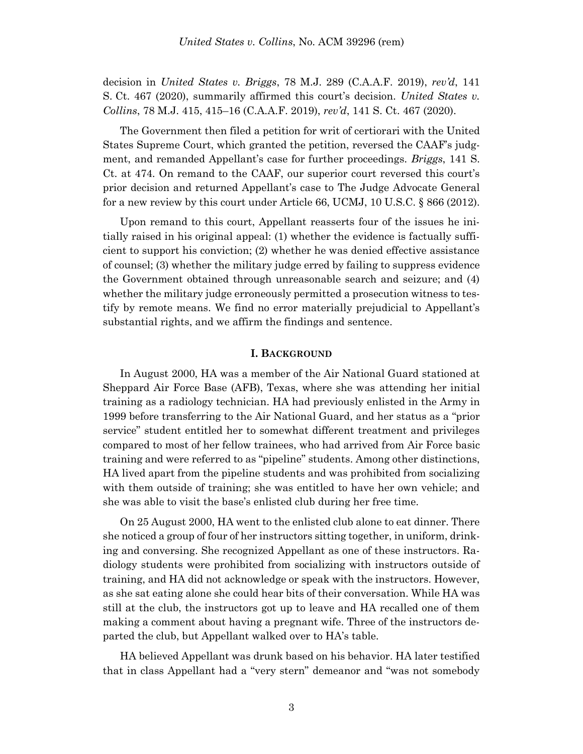decision in *United States v. Briggs*, 78 M.J. 289 (C.A.A.F. 2019), *rev'd*, 141 S. Ct. 467 (2020), summarily affirmed this court's decision. *United States v. Collins*, 78 M.J. 415, 415–16 (C.A.A.F. 2019), *rev'd*, 141 S. Ct. 467 (2020).

The Government then filed a petition for writ of certiorari with the United States Supreme Court, which granted the petition, reversed the CAAF's judgment, and remanded Appellant's case for further proceedings. *Briggs*, 141 S. Ct. at 474. On remand to the CAAF, our superior court reversed this court's prior decision and returned Appellant's case to The Judge Advocate General for a new review by this court under Article 66, UCMJ, 10 U.S.C. § 866 (2012).

Upon remand to this court, Appellant reasserts four of the issues he initially raised in his original appeal: (1) whether the evidence is factually sufficient to support his conviction; (2) whether he was denied effective assistance of counsel; (3) whether the military judge erred by failing to suppress evidence the Government obtained through unreasonable search and seizure; and (4) whether the military judge erroneously permitted a prosecution witness to testify by remote means. We find no error materially prejudicial to Appellant's substantial rights, and we affirm the findings and sentence.

#### **I. BACKGROUND**

In August 2000, HA was a member of the Air National Guard stationed at Sheppard Air Force Base (AFB), Texas, where she was attending her initial training as a radiology technician. HA had previously enlisted in the Army in 1999 before transferring to the Air National Guard, and her status as a "prior service" student entitled her to somewhat different treatment and privileges compared to most of her fellow trainees, who had arrived from Air Force basic training and were referred to as "pipeline" students. Among other distinctions, HA lived apart from the pipeline students and was prohibited from socializing with them outside of training; she was entitled to have her own vehicle; and she was able to visit the base's enlisted club during her free time.

On 25 August 2000, HA went to the enlisted club alone to eat dinner. There she noticed a group of four of her instructors sitting together, in uniform, drinking and conversing. She recognized Appellant as one of these instructors. Radiology students were prohibited from socializing with instructors outside of training, and HA did not acknowledge or speak with the instructors. However, as she sat eating alone she could hear bits of their conversation. While HA was still at the club, the instructors got up to leave and HA recalled one of them making a comment about having a pregnant wife. Three of the instructors departed the club, but Appellant walked over to HA's table.

HA believed Appellant was drunk based on his behavior. HA later testified that in class Appellant had a "very stern" demeanor and "was not somebody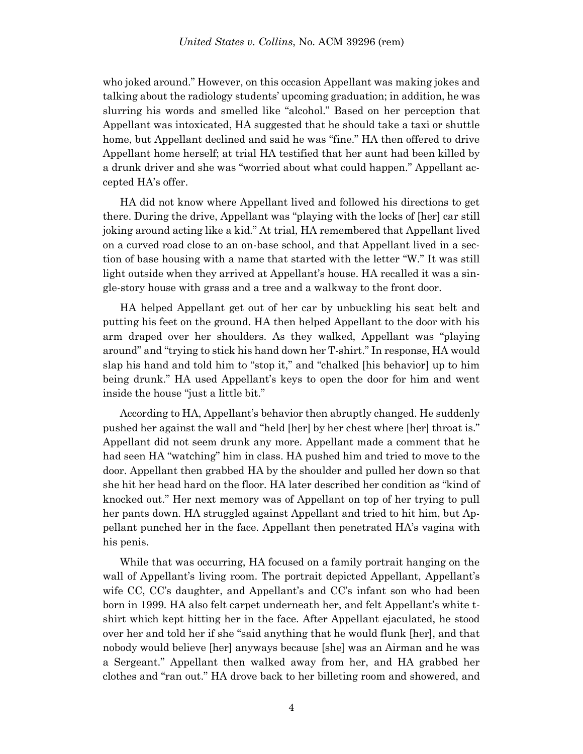who joked around." However, on this occasion Appellant was making jokes and talking about the radiology students' upcoming graduation; in addition, he was slurring his words and smelled like "alcohol." Based on her perception that Appellant was intoxicated, HA suggested that he should take a taxi or shuttle home, but Appellant declined and said he was "fine." HA then offered to drive Appellant home herself; at trial HA testified that her aunt had been killed by a drunk driver and she was "worried about what could happen." Appellant accepted HA's offer.

HA did not know where Appellant lived and followed his directions to get there. During the drive, Appellant was "playing with the locks of [her] car still joking around acting like a kid." At trial, HA remembered that Appellant lived on a curved road close to an on-base school, and that Appellant lived in a section of base housing with a name that started with the letter "W." It was still light outside when they arrived at Appellant's house. HA recalled it was a single-story house with grass and a tree and a walkway to the front door.

HA helped Appellant get out of her car by unbuckling his seat belt and putting his feet on the ground. HA then helped Appellant to the door with his arm draped over her shoulders. As they walked, Appellant was "playing around" and "trying to stick his hand down her T-shirt." In response, HA would slap his hand and told him to "stop it," and "chalked [his behavior] up to him being drunk." HA used Appellant's keys to open the door for him and went inside the house "just a little bit."

According to HA, Appellant's behavior then abruptly changed. He suddenly pushed her against the wall and "held [her] by her chest where [her] throat is." Appellant did not seem drunk any more. Appellant made a comment that he had seen HA "watching" him in class. HA pushed him and tried to move to the door. Appellant then grabbed HA by the shoulder and pulled her down so that she hit her head hard on the floor. HA later described her condition as "kind of knocked out." Her next memory was of Appellant on top of her trying to pull her pants down. HA struggled against Appellant and tried to hit him, but Appellant punched her in the face. Appellant then penetrated HA's vagina with his penis.

While that was occurring, HA focused on a family portrait hanging on the wall of Appellant's living room. The portrait depicted Appellant, Appellant's wife CC, CC's daughter, and Appellant's and CC's infant son who had been born in 1999. HA also felt carpet underneath her, and felt Appellant's white tshirt which kept hitting her in the face. After Appellant ejaculated, he stood over her and told her if she "said anything that he would flunk [her], and that nobody would believe [her] anyways because [she] was an Airman and he was a Sergeant." Appellant then walked away from her, and HA grabbed her clothes and "ran out." HA drove back to her billeting room and showered, and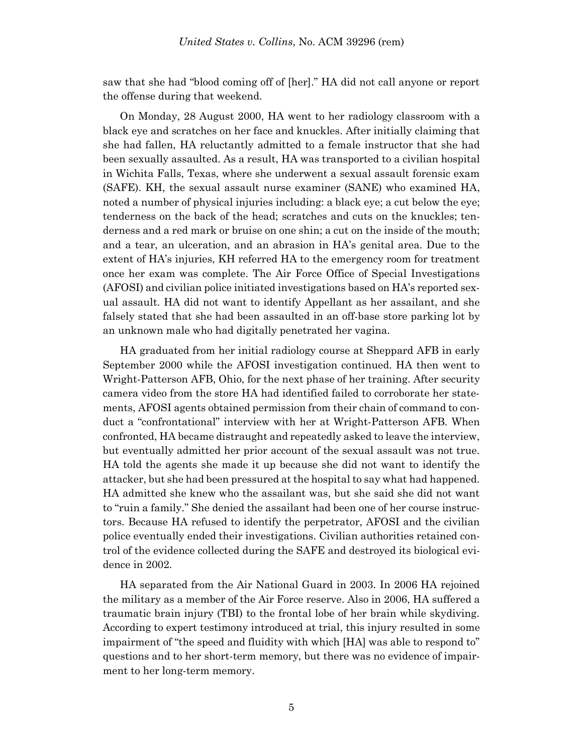saw that she had "blood coming off of [her]." HA did not call anyone or report the offense during that weekend.

On Monday, 28 August 2000, HA went to her radiology classroom with a black eye and scratches on her face and knuckles. After initially claiming that she had fallen, HA reluctantly admitted to a female instructor that she had been sexually assaulted. As a result, HA was transported to a civilian hospital in Wichita Falls, Texas, where she underwent a sexual assault forensic exam (SAFE). KH, the sexual assault nurse examiner (SANE) who examined HA, noted a number of physical injuries including: a black eye; a cut below the eye; tenderness on the back of the head; scratches and cuts on the knuckles; tenderness and a red mark or bruise on one shin; a cut on the inside of the mouth; and a tear, an ulceration, and an abrasion in HA's genital area. Due to the extent of HA's injuries, KH referred HA to the emergency room for treatment once her exam was complete. The Air Force Office of Special Investigations (AFOSI) and civilian police initiated investigations based on HA's reported sexual assault. HA did not want to identify Appellant as her assailant, and she falsely stated that she had been assaulted in an off-base store parking lot by an unknown male who had digitally penetrated her vagina.

HA graduated from her initial radiology course at Sheppard AFB in early September 2000 while the AFOSI investigation continued. HA then went to Wright-Patterson AFB, Ohio, for the next phase of her training. After security camera video from the store HA had identified failed to corroborate her statements, AFOSI agents obtained permission from their chain of command to conduct a "confrontational" interview with her at Wright-Patterson AFB. When confronted, HA became distraught and repeatedly asked to leave the interview, but eventually admitted her prior account of the sexual assault was not true. HA told the agents she made it up because she did not want to identify the attacker, but she had been pressured at the hospital to say what had happened. HA admitted she knew who the assailant was, but she said she did not want to "ruin a family." She denied the assailant had been one of her course instructors. Because HA refused to identify the perpetrator, AFOSI and the civilian police eventually ended their investigations. Civilian authorities retained control of the evidence collected during the SAFE and destroyed its biological evidence in 2002.

HA separated from the Air National Guard in 2003. In 2006 HA rejoined the military as a member of the Air Force reserve. Also in 2006, HA suffered a traumatic brain injury (TBI) to the frontal lobe of her brain while skydiving. According to expert testimony introduced at trial, this injury resulted in some impairment of "the speed and fluidity with which [HA] was able to respond to" questions and to her short-term memory, but there was no evidence of impairment to her long-term memory.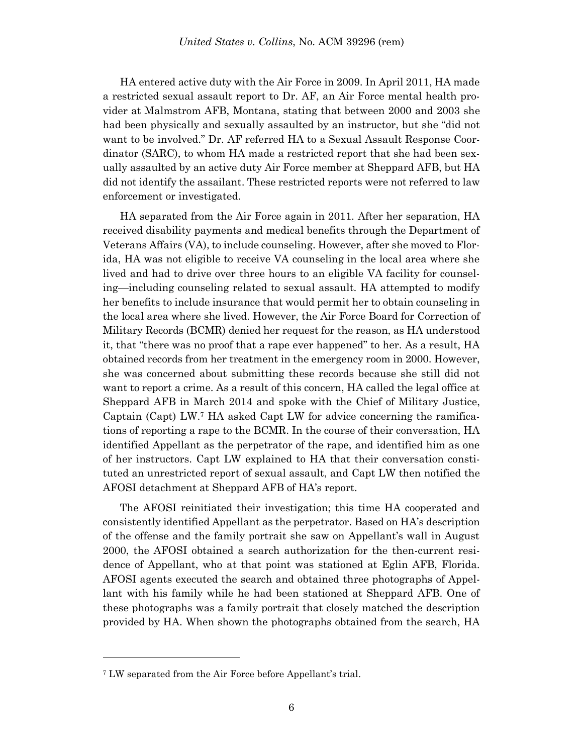HA entered active duty with the Air Force in 2009. In April 2011, HA made a restricted sexual assault report to Dr. AF, an Air Force mental health provider at Malmstrom AFB, Montana, stating that between 2000 and 2003 she had been physically and sexually assaulted by an instructor, but she "did not want to be involved." Dr. AF referred HA to a Sexual Assault Response Coordinator (SARC), to whom HA made a restricted report that she had been sexually assaulted by an active duty Air Force member at Sheppard AFB, but HA did not identify the assailant. These restricted reports were not referred to law enforcement or investigated.

HA separated from the Air Force again in 2011. After her separation, HA received disability payments and medical benefits through the Department of Veterans Affairs (VA), to include counseling. However, after she moved to Florida, HA was not eligible to receive VA counseling in the local area where she lived and had to drive over three hours to an eligible VA facility for counseling—including counseling related to sexual assault. HA attempted to modify her benefits to include insurance that would permit her to obtain counseling in the local area where she lived. However, the Air Force Board for Correction of Military Records (BCMR) denied her request for the reason, as HA understood it, that "there was no proof that a rape ever happened" to her. As a result, HA obtained records from her treatment in the emergency room in 2000. However, she was concerned about submitting these records because she still did not want to report a crime. As a result of this concern, HA called the legal office at Sheppard AFB in March 2014 and spoke with the Chief of Military Justice, Captain (Capt) LW.<sup>7</sup> HA asked Capt LW for advice concerning the ramifications of reporting a rape to the BCMR. In the course of their conversation, HA identified Appellant as the perpetrator of the rape, and identified him as one of her instructors. Capt LW explained to HA that their conversation constituted an unrestricted report of sexual assault, and Capt LW then notified the AFOSI detachment at Sheppard AFB of HA's report.

The AFOSI reinitiated their investigation; this time HA cooperated and consistently identified Appellant as the perpetrator. Based on HA's description of the offense and the family portrait she saw on Appellant's wall in August 2000, the AFOSI obtained a search authorization for the then-current residence of Appellant, who at that point was stationed at Eglin AFB, Florida. AFOSI agents executed the search and obtained three photographs of Appellant with his family while he had been stationed at Sheppard AFB. One of these photographs was a family portrait that closely matched the description provided by HA. When shown the photographs obtained from the search, HA

<sup>7</sup> LW separated from the Air Force before Appellant's trial.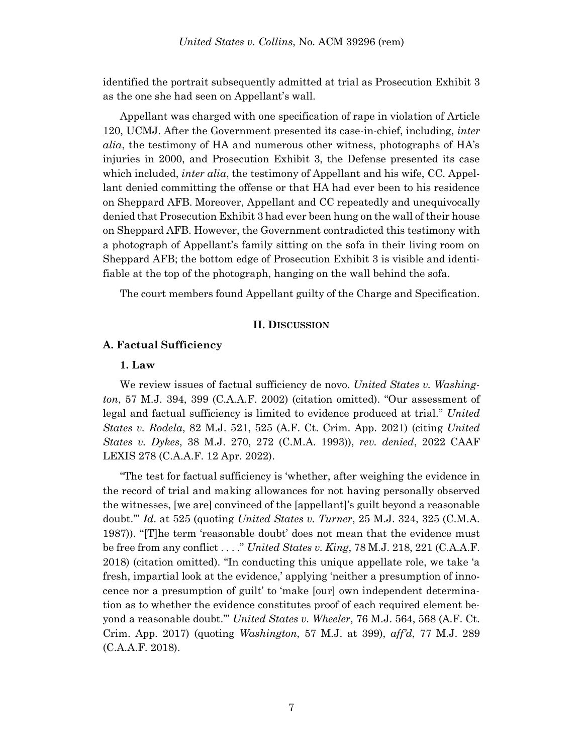identified the portrait subsequently admitted at trial as Prosecution Exhibit 3 as the one she had seen on Appellant's wall.

Appellant was charged with one specification of rape in violation of Article 120, UCMJ. After the Government presented its case-in-chief, including, *inter alia*, the testimony of HA and numerous other witness, photographs of HA's injuries in 2000, and Prosecution Exhibit 3, the Defense presented its case which included, *inter alia*, the testimony of Appellant and his wife, CC. Appellant denied committing the offense or that HA had ever been to his residence on Sheppard AFB. Moreover, Appellant and CC repeatedly and unequivocally denied that Prosecution Exhibit 3 had ever been hung on the wall of their house on Sheppard AFB. However, the Government contradicted this testimony with a photograph of Appellant's family sitting on the sofa in their living room on Sheppard AFB; the bottom edge of Prosecution Exhibit 3 is visible and identifiable at the top of the photograph, hanging on the wall behind the sofa.

The court members found Appellant guilty of the Charge and Specification.

### **II. DISCUSSION**

## **A. Factual Sufficiency**

#### **1. Law**

We review issues of factual sufficiency de novo. *United States v. Washington*, 57 M.J. 394, 399 (C.A.A.F. 2002) (citation omitted). "Our assessment of legal and factual sufficiency is limited to evidence produced at trial." *United States v. Rodela*, 82 M.J. 521, 525 (A.F. Ct. Crim. App. 2021) (citing *United States v. Dykes*, 38 M.J. 270, 272 (C.M.A. 1993)), *rev. denied*, 2022 CAAF LEXIS 278 (C.A.A.F. 12 Apr. 2022).

"The test for factual sufficiency is 'whether, after weighing the evidence in the record of trial and making allowances for not having personally observed the witnesses, [we are] convinced of the [appellant]'s guilt beyond a reasonable doubt.'" *Id*. at 525 (quoting *United States v. Turner*, 25 M.J. 324, 325 (C.M.A. 1987)). "[T]he term 'reasonable doubt' does not mean that the evidence must be free from any conflict . . . ." *United States v. King*, 78 M.J. 218, 221 (C.A.A.F. 2018) (citation omitted). "In conducting this unique appellate role, we take 'a fresh, impartial look at the evidence,' applying 'neither a presumption of innocence nor a presumption of guilt' to 'make [our] own independent determination as to whether the evidence constitutes proof of each required element beyond a reasonable doubt.'" *United States v. Wheeler*, 76 M.J. 564, 568 (A.F. Ct. Crim. App. 2017) (quoting *Washington*, 57 M.J. at 399), *aff'd*, 77 M.J. 289 (C.A.A.F. 2018).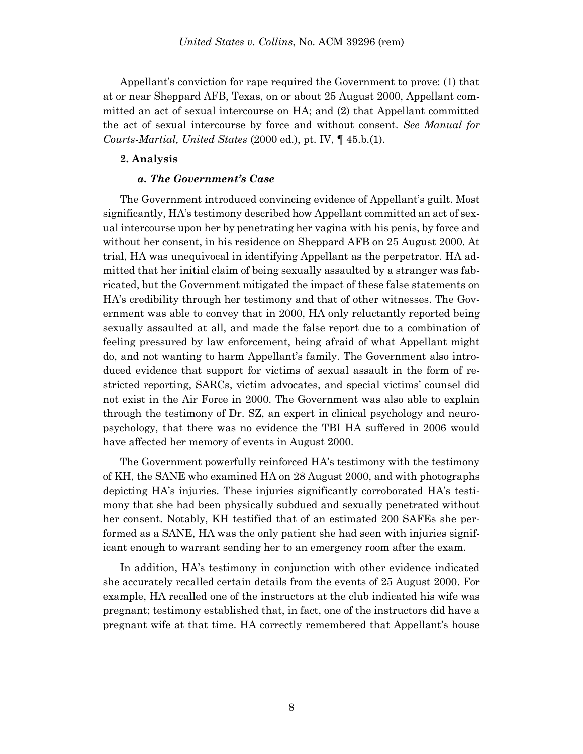Appellant's conviction for rape required the Government to prove: (1) that at or near Sheppard AFB, Texas, on or about 25 August 2000, Appellant committed an act of sexual intercourse on HA; and (2) that Appellant committed the act of sexual intercourse by force and without consent. *See Manual for Courts-Martial, United States* (2000 ed.), pt. IV, ¶ 45.b.(1).

#### **2. Analysis**

#### *a. The Government's Case*

The Government introduced convincing evidence of Appellant's guilt. Most significantly, HA's testimony described how Appellant committed an act of sexual intercourse upon her by penetrating her vagina with his penis, by force and without her consent, in his residence on Sheppard AFB on 25 August 2000. At trial, HA was unequivocal in identifying Appellant as the perpetrator. HA admitted that her initial claim of being sexually assaulted by a stranger was fabricated, but the Government mitigated the impact of these false statements on HA's credibility through her testimony and that of other witnesses. The Government was able to convey that in 2000, HA only reluctantly reported being sexually assaulted at all, and made the false report due to a combination of feeling pressured by law enforcement, being afraid of what Appellant might do, and not wanting to harm Appellant's family. The Government also introduced evidence that support for victims of sexual assault in the form of restricted reporting, SARCs, victim advocates, and special victims' counsel did not exist in the Air Force in 2000. The Government was also able to explain through the testimony of Dr. SZ, an expert in clinical psychology and neuropsychology, that there was no evidence the TBI HA suffered in 2006 would have affected her memory of events in August 2000.

The Government powerfully reinforced HA's testimony with the testimony of KH, the SANE who examined HA on 28 August 2000, and with photographs depicting HA's injuries. These injuries significantly corroborated HA's testimony that she had been physically subdued and sexually penetrated without her consent. Notably, KH testified that of an estimated 200 SAFEs she performed as a SANE, HA was the only patient she had seen with injuries significant enough to warrant sending her to an emergency room after the exam.

In addition, HA's testimony in conjunction with other evidence indicated she accurately recalled certain details from the events of 25 August 2000. For example, HA recalled one of the instructors at the club indicated his wife was pregnant; testimony established that, in fact, one of the instructors did have a pregnant wife at that time. HA correctly remembered that Appellant's house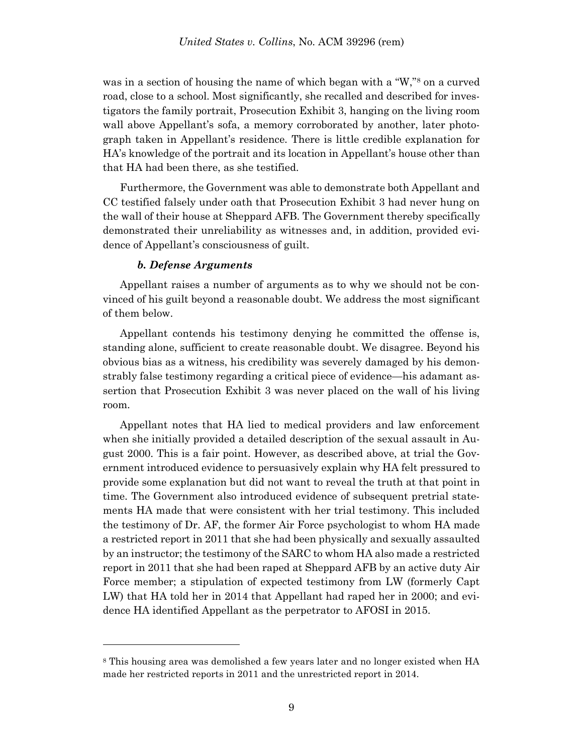was in a section of housing the name of which began with a "W,"<sup>8</sup> on a curved road, close to a school. Most significantly, she recalled and described for investigators the family portrait, Prosecution Exhibit 3, hanging on the living room wall above Appellant's sofa, a memory corroborated by another, later photograph taken in Appellant's residence. There is little credible explanation for HA's knowledge of the portrait and its location in Appellant's house other than that HA had been there, as she testified.

Furthermore, the Government was able to demonstrate both Appellant and CC testified falsely under oath that Prosecution Exhibit 3 had never hung on the wall of their house at Sheppard AFB. The Government thereby specifically demonstrated their unreliability as witnesses and, in addition, provided evidence of Appellant's consciousness of guilt.

## *b. Defense Arguments*

l

Appellant raises a number of arguments as to why we should not be convinced of his guilt beyond a reasonable doubt. We address the most significant of them below.

Appellant contends his testimony denying he committed the offense is, standing alone, sufficient to create reasonable doubt. We disagree. Beyond his obvious bias as a witness, his credibility was severely damaged by his demonstrably false testimony regarding a critical piece of evidence—his adamant assertion that Prosecution Exhibit 3 was never placed on the wall of his living room.

Appellant notes that HA lied to medical providers and law enforcement when she initially provided a detailed description of the sexual assault in August 2000. This is a fair point. However, as described above, at trial the Government introduced evidence to persuasively explain why HA felt pressured to provide some explanation but did not want to reveal the truth at that point in time. The Government also introduced evidence of subsequent pretrial statements HA made that were consistent with her trial testimony. This included the testimony of Dr. AF, the former Air Force psychologist to whom HA made a restricted report in 2011 that she had been physically and sexually assaulted by an instructor; the testimony of the SARC to whom HA also made a restricted report in 2011 that she had been raped at Sheppard AFB by an active duty Air Force member; a stipulation of expected testimony from LW (formerly Capt LW) that HA told her in 2014 that Appellant had raped her in 2000; and evidence HA identified Appellant as the perpetrator to AFOSI in 2015.

<sup>8</sup> This housing area was demolished a few years later and no longer existed when HA made her restricted reports in 2011 and the unrestricted report in 2014.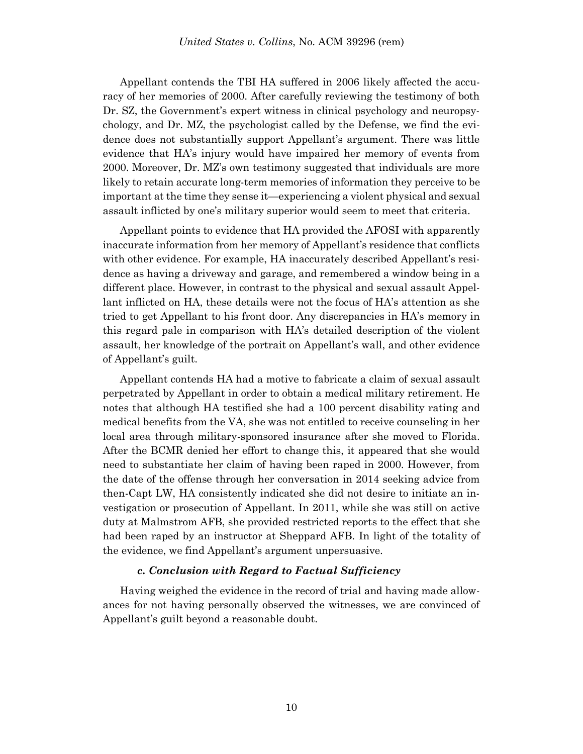Appellant contends the TBI HA suffered in 2006 likely affected the accuracy of her memories of 2000. After carefully reviewing the testimony of both Dr. SZ, the Government's expert witness in clinical psychology and neuropsychology, and Dr. MZ, the psychologist called by the Defense, we find the evidence does not substantially support Appellant's argument. There was little evidence that HA's injury would have impaired her memory of events from 2000. Moreover, Dr. MZ's own testimony suggested that individuals are more likely to retain accurate long-term memories of information they perceive to be important at the time they sense it—experiencing a violent physical and sexual assault inflicted by one's military superior would seem to meet that criteria.

Appellant points to evidence that HA provided the AFOSI with apparently inaccurate information from her memory of Appellant's residence that conflicts with other evidence. For example, HA inaccurately described Appellant's residence as having a driveway and garage, and remembered a window being in a different place. However, in contrast to the physical and sexual assault Appellant inflicted on HA, these details were not the focus of HA's attention as she tried to get Appellant to his front door. Any discrepancies in HA's memory in this regard pale in comparison with HA's detailed description of the violent assault, her knowledge of the portrait on Appellant's wall, and other evidence of Appellant's guilt.

Appellant contends HA had a motive to fabricate a claim of sexual assault perpetrated by Appellant in order to obtain a medical military retirement. He notes that although HA testified she had a 100 percent disability rating and medical benefits from the VA, she was not entitled to receive counseling in her local area through military-sponsored insurance after she moved to Florida. After the BCMR denied her effort to change this, it appeared that she would need to substantiate her claim of having been raped in 2000. However, from the date of the offense through her conversation in 2014 seeking advice from then-Capt LW, HA consistently indicated she did not desire to initiate an investigation or prosecution of Appellant. In 2011, while she was still on active duty at Malmstrom AFB, she provided restricted reports to the effect that she had been raped by an instructor at Sheppard AFB. In light of the totality of the evidence, we find Appellant's argument unpersuasive.

## *c. Conclusion with Regard to Factual Sufficiency*

Having weighed the evidence in the record of trial and having made allowances for not having personally observed the witnesses, we are convinced of Appellant's guilt beyond a reasonable doubt.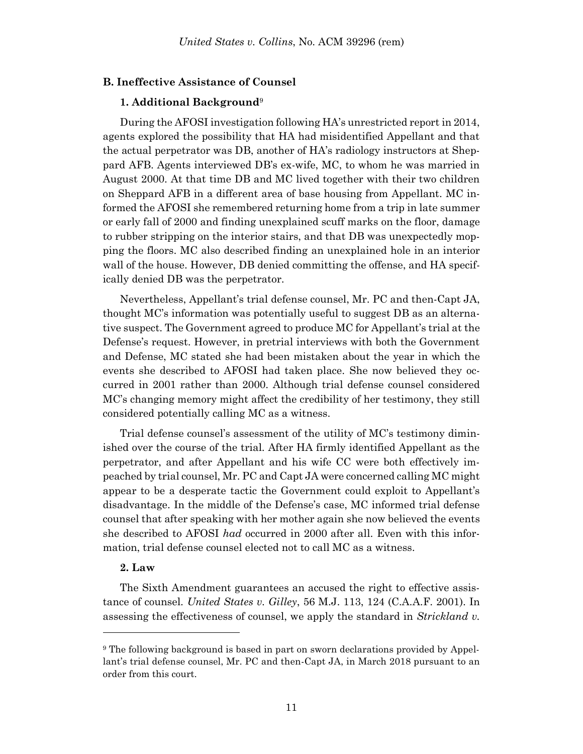## **B. Ineffective Assistance of Counsel**

## **1. Additional Background**<sup>9</sup>

During the AFOSI investigation following HA's unrestricted report in 2014, agents explored the possibility that HA had misidentified Appellant and that the actual perpetrator was DB, another of HA's radiology instructors at Sheppard AFB. Agents interviewed DB's ex-wife, MC, to whom he was married in August 2000. At that time DB and MC lived together with their two children on Sheppard AFB in a different area of base housing from Appellant. MC informed the AFOSI she remembered returning home from a trip in late summer or early fall of 2000 and finding unexplained scuff marks on the floor, damage to rubber stripping on the interior stairs, and that DB was unexpectedly mopping the floors. MC also described finding an unexplained hole in an interior wall of the house. However, DB denied committing the offense, and HA specifically denied DB was the perpetrator.

Nevertheless, Appellant's trial defense counsel, Mr. PC and then-Capt JA, thought MC's information was potentially useful to suggest DB as an alternative suspect. The Government agreed to produce MC for Appellant's trial at the Defense's request. However, in pretrial interviews with both the Government and Defense, MC stated she had been mistaken about the year in which the events she described to AFOSI had taken place. She now believed they occurred in 2001 rather than 2000. Although trial defense counsel considered MC's changing memory might affect the credibility of her testimony, they still considered potentially calling MC as a witness.

Trial defense counsel's assessment of the utility of MC's testimony diminished over the course of the trial. After HA firmly identified Appellant as the perpetrator, and after Appellant and his wife CC were both effectively impeached by trial counsel, Mr. PC and Capt JA were concerned calling MC might appear to be a desperate tactic the Government could exploit to Appellant's disadvantage. In the middle of the Defense's case, MC informed trial defense counsel that after speaking with her mother again she now believed the events she described to AFOSI *had* occurred in 2000 after all. Even with this information, trial defense counsel elected not to call MC as a witness.

## **2. Law**

l

The Sixth Amendment guarantees an accused the right to effective assistance of counsel. *United States v. Gilley*, 56 M.J. 113, 124 (C.A.A.F. 2001). In assessing the effectiveness of counsel, we apply the standard in *Strickland v.* 

<sup>9</sup> The following background is based in part on sworn declarations provided by Appellant's trial defense counsel, Mr. PC and then-Capt JA, in March 2018 pursuant to an order from this court.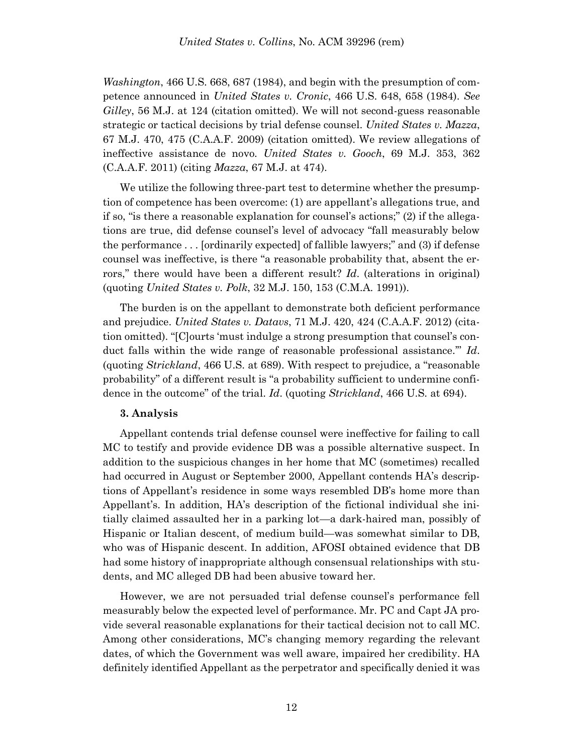*Washington*, 466 U.S. 668, 687 (1984), and begin with the presumption of competence announced in *United States v. Cronic*, 466 U.S. 648, 658 (1984). *See Gilley*, 56 M.J. at 124 (citation omitted). We will not second-guess reasonable strategic or tactical decisions by trial defense counsel. *United States v. Mazza*, 67 M.J. 470, 475 (C.A.A.F. 2009) (citation omitted). We review allegations of ineffective assistance de novo. *United States v. Gooch*, 69 M.J. 353, 362 (C.A.A.F. 2011) (citing *Mazza*, 67 M.J. at 474).

We utilize the following three-part test to determine whether the presumption of competence has been overcome: (1) are appellant's allegations true, and if so, "is there a reasonable explanation for counsel's actions;" (2) if the allegations are true, did defense counsel's level of advocacy "fall measurably below the performance . . . [ordinarily expected] of fallible lawyers;" and (3) if defense counsel was ineffective, is there "a reasonable probability that, absent the errors," there would have been a different result? *Id*. (alterations in original) (quoting *United States v. Polk*, 32 M.J. 150, 153 (C.M.A. 1991)).

The burden is on the appellant to demonstrate both deficient performance and prejudice. *United States v. Datavs*, 71 M.J. 420, 424 (C.A.A.F. 2012) (citation omitted). "[C]ourts 'must indulge a strong presumption that counsel's conduct falls within the wide range of reasonable professional assistance.'" *Id*. (quoting *Strickland*, 466 U.S. at 689). With respect to prejudice, a "reasonable probability" of a different result is "a probability sufficient to undermine confidence in the outcome" of the trial. *Id*. (quoting *Strickland*, 466 U.S. at 694).

#### **3. Analysis**

Appellant contends trial defense counsel were ineffective for failing to call MC to testify and provide evidence DB was a possible alternative suspect. In addition to the suspicious changes in her home that MC (sometimes) recalled had occurred in August or September 2000, Appellant contends HA's descriptions of Appellant's residence in some ways resembled DB's home more than Appellant's. In addition, HA's description of the fictional individual she initially claimed assaulted her in a parking lot—a dark-haired man, possibly of Hispanic or Italian descent, of medium build—was somewhat similar to DB, who was of Hispanic descent. In addition, AFOSI obtained evidence that DB had some history of inappropriate although consensual relationships with students, and MC alleged DB had been abusive toward her.

However, we are not persuaded trial defense counsel's performance fell measurably below the expected level of performance. Mr. PC and Capt JA provide several reasonable explanations for their tactical decision not to call MC. Among other considerations, MC's changing memory regarding the relevant dates, of which the Government was well aware, impaired her credibility. HA definitely identified Appellant as the perpetrator and specifically denied it was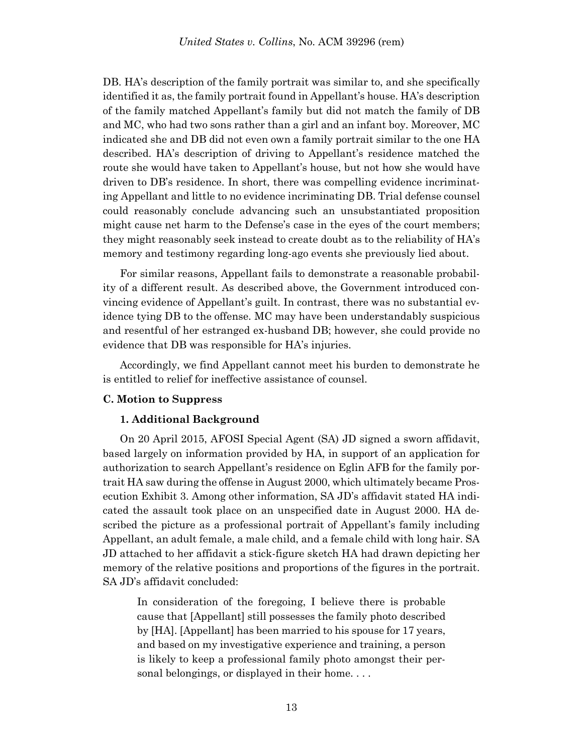DB. HA's description of the family portrait was similar to, and she specifically identified it as, the family portrait found in Appellant's house. HA's description of the family matched Appellant's family but did not match the family of DB and MC, who had two sons rather than a girl and an infant boy. Moreover, MC indicated she and DB did not even own a family portrait similar to the one HA described. HA's description of driving to Appellant's residence matched the route she would have taken to Appellant's house, but not how she would have driven to DB's residence. In short, there was compelling evidence incriminating Appellant and little to no evidence incriminating DB. Trial defense counsel could reasonably conclude advancing such an unsubstantiated proposition might cause net harm to the Defense's case in the eyes of the court members; they might reasonably seek instead to create doubt as to the reliability of HA's memory and testimony regarding long-ago events she previously lied about.

For similar reasons, Appellant fails to demonstrate a reasonable probability of a different result. As described above, the Government introduced convincing evidence of Appellant's guilt. In contrast, there was no substantial evidence tying DB to the offense. MC may have been understandably suspicious and resentful of her estranged ex-husband DB; however, she could provide no evidence that DB was responsible for HA's injuries.

Accordingly, we find Appellant cannot meet his burden to demonstrate he is entitled to relief for ineffective assistance of counsel.

## **C. Motion to Suppress**

### **1. Additional Background**

On 20 April 2015, AFOSI Special Agent (SA) JD signed a sworn affidavit, based largely on information provided by HA, in support of an application for authorization to search Appellant's residence on Eglin AFB for the family portrait HA saw during the offense in August 2000, which ultimately became Prosecution Exhibit 3. Among other information, SA JD's affidavit stated HA indicated the assault took place on an unspecified date in August 2000. HA described the picture as a professional portrait of Appellant's family including Appellant, an adult female, a male child, and a female child with long hair. SA JD attached to her affidavit a stick-figure sketch HA had drawn depicting her memory of the relative positions and proportions of the figures in the portrait. SA JD's affidavit concluded:

In consideration of the foregoing, I believe there is probable cause that [Appellant] still possesses the family photo described by [HA]. [Appellant] has been married to his spouse for 17 years, and based on my investigative experience and training, a person is likely to keep a professional family photo amongst their personal belongings, or displayed in their home. . . .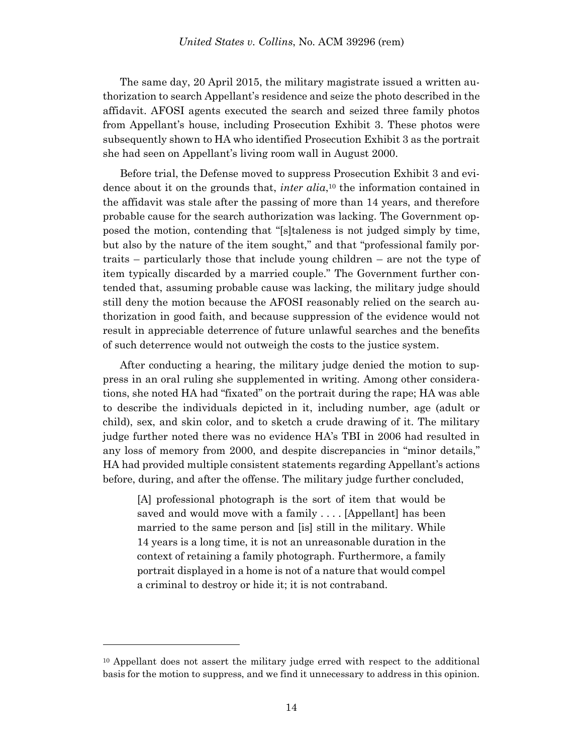The same day, 20 April 2015, the military magistrate issued a written authorization to search Appellant's residence and seize the photo described in the affidavit. AFOSI agents executed the search and seized three family photos from Appellant's house, including Prosecution Exhibit 3. These photos were subsequently shown to HA who identified Prosecution Exhibit 3 as the portrait she had seen on Appellant's living room wall in August 2000.

Before trial, the Defense moved to suppress Prosecution Exhibit 3 and evidence about it on the grounds that, *inter alia*, <sup>10</sup> the information contained in the affidavit was stale after the passing of more than 14 years, and therefore probable cause for the search authorization was lacking. The Government opposed the motion, contending that "[s]taleness is not judged simply by time, but also by the nature of the item sought," and that "professional family portraits – particularly those that include young children – are not the type of item typically discarded by a married couple." The Government further contended that, assuming probable cause was lacking, the military judge should still deny the motion because the AFOSI reasonably relied on the search authorization in good faith, and because suppression of the evidence would not result in appreciable deterrence of future unlawful searches and the benefits of such deterrence would not outweigh the costs to the justice system.

After conducting a hearing, the military judge denied the motion to suppress in an oral ruling she supplemented in writing. Among other considerations, she noted HA had "fixated" on the portrait during the rape; HA was able to describe the individuals depicted in it, including number, age (adult or child), sex, and skin color, and to sketch a crude drawing of it. The military judge further noted there was no evidence HA's TBI in 2006 had resulted in any loss of memory from 2000, and despite discrepancies in "minor details," HA had provided multiple consistent statements regarding Appellant's actions before, during, and after the offense. The military judge further concluded,

[A] professional photograph is the sort of item that would be saved and would move with a family .... [Appellant] has been married to the same person and [is] still in the military. While 14 years is a long time, it is not an unreasonable duration in the context of retaining a family photograph. Furthermore, a family portrait displayed in a home is not of a nature that would compel a criminal to destroy or hide it; it is not contraband.

<sup>&</sup>lt;sup>10</sup> Appellant does not assert the military judge erred with respect to the additional basis for the motion to suppress, and we find it unnecessary to address in this opinion.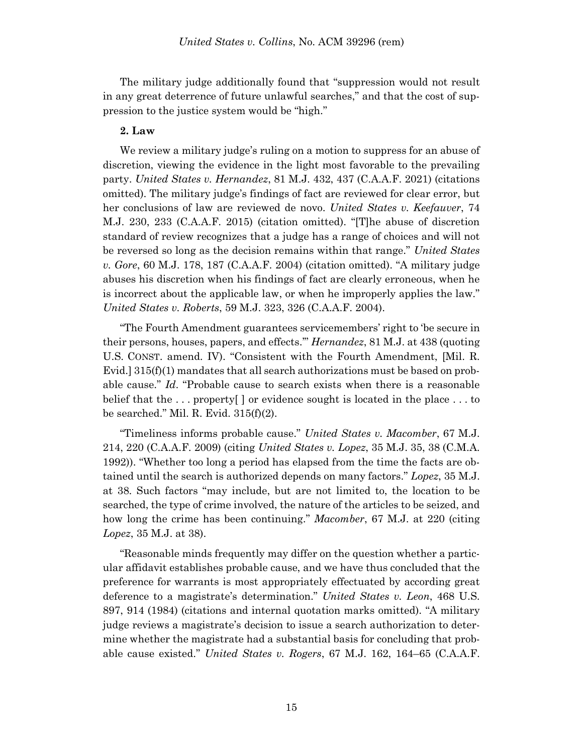The military judge additionally found that "suppression would not result in any great deterrence of future unlawful searches," and that the cost of suppression to the justice system would be "high."

## **2. Law**

We review a military judge's ruling on a motion to suppress for an abuse of discretion, viewing the evidence in the light most favorable to the prevailing party. *United States v. Hernandez*, 81 M.J. 432, 437 (C.A.A.F. 2021) (citations omitted). The military judge's findings of fact are reviewed for clear error, but her conclusions of law are reviewed de novo. *United States v. Keefauver*, 74 M.J. 230, 233 (C.A.A.F. 2015) (citation omitted). "[T]he abuse of discretion standard of review recognizes that a judge has a range of choices and will not be reversed so long as the decision remains within that range." *United States v. Gore*, 60 M.J. 178, 187 (C.A.A.F. 2004) (citation omitted). "A military judge abuses his discretion when his findings of fact are clearly erroneous, when he is incorrect about the applicable law, or when he improperly applies the law." *United States v. Roberts*, 59 M.J. 323, 326 (C.A.A.F. 2004).

"The Fourth Amendment guarantees servicemembers' right to 'be secure in their persons, houses, papers, and effects.'" *Hernandez*, 81 M.J. at 438 (quoting U.S. CONST. amend. IV). "Consistent with the Fourth Amendment, [Mil. R. Evid.]  $315(f)(1)$  mandates that all search authorizations must be based on probable cause." *Id*. "Probable cause to search exists when there is a reasonable belief that the . . . property[ ] or evidence sought is located in the place . . . to be searched." Mil. R. Evid.  $315(f)(2)$ .

"Timeliness informs probable cause." *United States v. Macomber*, 67 M.J. 214, 220 (C.A.A.F. 2009) (citing *United States v. Lopez*, 35 M.J. 35, 38 (C.M.A. 1992)). "Whether too long a period has elapsed from the time the facts are obtained until the search is authorized depends on many factors." *Lopez*, 35 M.J. at 38. Such factors "may include, but are not limited to, the location to be searched, the type of crime involved, the nature of the articles to be seized, and how long the crime has been continuing." *Macomber*, 67 M.J. at 220 (citing *Lopez*, 35 M.J. at 38).

"Reasonable minds frequently may differ on the question whether a particular affidavit establishes probable cause, and we have thus concluded that the preference for warrants is most appropriately effectuated by according great deference to a magistrate's determination." *United States v. Leon*, 468 U.S. 897, 914 (1984) (citations and internal quotation marks omitted). "A military judge reviews a magistrate's decision to issue a search authorization to determine whether the magistrate had a substantial basis for concluding that probable cause existed." *United States v. Rogers*, 67 M.J. 162, 164–65 (C.A.A.F.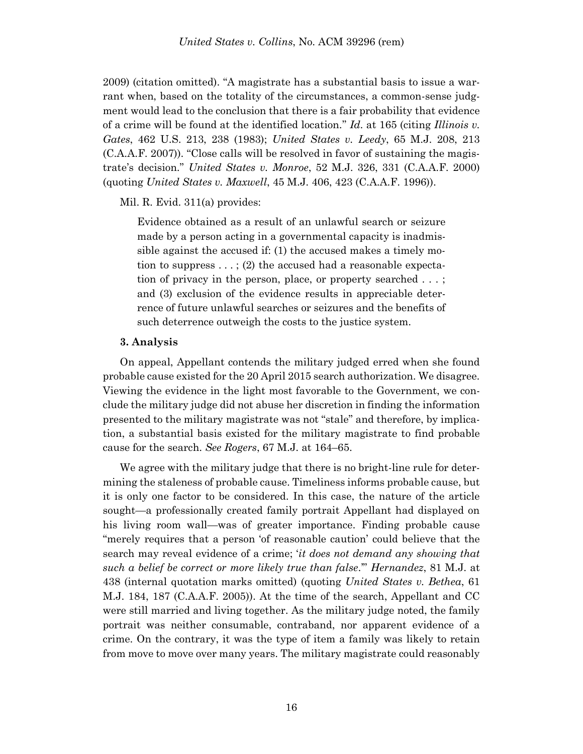2009) (citation omitted). "A magistrate has a substantial basis to issue a warrant when, based on the totality of the circumstances, a common-sense judgment would lead to the conclusion that there is a fair probability that evidence of a crime will be found at the identified location." *Id*. at 165 (citing *Illinois v. Gates*, 462 U.S. 213, 238 (1983); *United States v. Leedy*, 65 M.J. 208, 213 (C.A.A.F. 2007)). "Close calls will be resolved in favor of sustaining the magistrate's decision." *United States v. Monroe*, 52 M.J. 326, 331 (C.A.A.F. 2000) (quoting *United States v. Maxwell*, 45 M.J. 406, 423 (C.A.A.F. 1996)).

Mil. R. Evid. 311(a) provides:

Evidence obtained as a result of an unlawful search or seizure made by a person acting in a governmental capacity is inadmissible against the accused if: (1) the accused makes a timely motion to suppress  $\dots$ ; (2) the accused had a reasonable expectation of privacy in the person, place, or property searched . . . ; and (3) exclusion of the evidence results in appreciable deterrence of future unlawful searches or seizures and the benefits of such deterrence outweigh the costs to the justice system.

#### **3. Analysis**

On appeal, Appellant contends the military judged erred when she found probable cause existed for the 20 April 2015 search authorization. We disagree. Viewing the evidence in the light most favorable to the Government, we conclude the military judge did not abuse her discretion in finding the information presented to the military magistrate was not "stale" and therefore, by implication, a substantial basis existed for the military magistrate to find probable cause for the search. *See Rogers*, 67 M.J. at 164–65.

We agree with the military judge that there is no bright-line rule for determining the staleness of probable cause. Timeliness informs probable cause, but it is only one factor to be considered. In this case, the nature of the article sought—a professionally created family portrait Appellant had displayed on his living room wall—was of greater importance. Finding probable cause "merely requires that a person 'of reasonable caution' could believe that the search may reveal evidence of a crime; '*it does not demand any showing that such a belief be correct or more likely true than false*.'" *Hernandez*, 81 M.J. at 438 (internal quotation marks omitted) (quoting *United States v. Bethea*, 61 M.J. 184, 187 (C.A.A.F. 2005)). At the time of the search, Appellant and CC were still married and living together. As the military judge noted, the family portrait was neither consumable, contraband, nor apparent evidence of a crime. On the contrary, it was the type of item a family was likely to retain from move to move over many years. The military magistrate could reasonably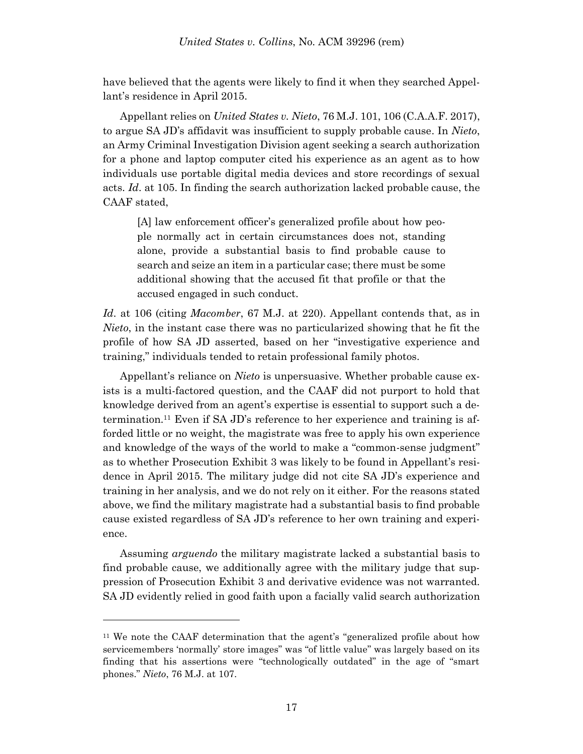have believed that the agents were likely to find it when they searched Appellant's residence in April 2015.

Appellant relies on *United States v. Nieto*, 76 M.J. 101, 106 (C.A.A.F. 2017), to argue SA JD's affidavit was insufficient to supply probable cause. In *Nieto*, an Army Criminal Investigation Division agent seeking a search authorization for a phone and laptop computer cited his experience as an agent as to how individuals use portable digital media devices and store recordings of sexual acts. *Id*. at 105. In finding the search authorization lacked probable cause, the CAAF stated,

[A] law enforcement officer's generalized profile about how people normally act in certain circumstances does not, standing alone, provide a substantial basis to find probable cause to search and seize an item in a particular case; there must be some additional showing that the accused fit that profile or that the accused engaged in such conduct.

*Id*. at 106 (citing *Macomber*, 67 M.J. at 220). Appellant contends that, as in *Nieto*, in the instant case there was no particularized showing that he fit the profile of how SA JD asserted, based on her "investigative experience and training," individuals tended to retain professional family photos.

Appellant's reliance on *Nieto* is unpersuasive. Whether probable cause exists is a multi-factored question, and the CAAF did not purport to hold that knowledge derived from an agent's expertise is essential to support such a determination.<sup>11</sup> Even if SA JD's reference to her experience and training is afforded little or no weight, the magistrate was free to apply his own experience and knowledge of the ways of the world to make a "common-sense judgment" as to whether Prosecution Exhibit 3 was likely to be found in Appellant's residence in April 2015. The military judge did not cite SA JD's experience and training in her analysis, and we do not rely on it either. For the reasons stated above, we find the military magistrate had a substantial basis to find probable cause existed regardless of SA JD's reference to her own training and experience.

Assuming *arguendo* the military magistrate lacked a substantial basis to find probable cause, we additionally agree with the military judge that suppression of Prosecution Exhibit 3 and derivative evidence was not warranted. SA JD evidently relied in good faith upon a facially valid search authorization

<sup>11</sup> We note the CAAF determination that the agent's "generalized profile about how servicemembers 'normally' store images" was "of little value" was largely based on its finding that his assertions were "technologically outdated" in the age of "smart phones." *Nieto*, 76 M.J. at 107.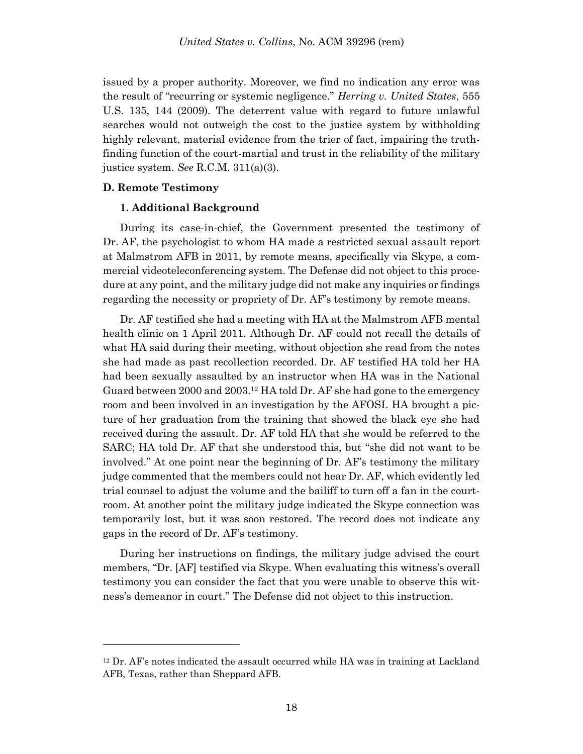issued by a proper authority. Moreover, we find no indication any error was the result of "recurring or systemic negligence." *Herring v. United States*, 555 U.S. 135, 144 (2009). The deterrent value with regard to future unlawful searches would not outweigh the cost to the justice system by withholding highly relevant, material evidence from the trier of fact, impairing the truthfinding function of the court-martial and trust in the reliability of the military justice system. *See* R.C.M. 311(a)(3).

## **D. Remote Testimony**

l

#### **1. Additional Background**

During its case-in-chief, the Government presented the testimony of Dr. AF, the psychologist to whom HA made a restricted sexual assault report at Malmstrom AFB in 2011, by remote means, specifically via Skype, a commercial videoteleconferencing system. The Defense did not object to this procedure at any point, and the military judge did not make any inquiries or findings regarding the necessity or propriety of Dr. AF's testimony by remote means.

Dr. AF testified she had a meeting with HA at the Malmstrom AFB mental health clinic on 1 April 2011. Although Dr. AF could not recall the details of what HA said during their meeting, without objection she read from the notes she had made as past recollection recorded. Dr. AF testified HA told her HA had been sexually assaulted by an instructor when HA was in the National Guard between 2000 and 2003.<sup>12</sup> HA told Dr. AF she had gone to the emergency room and been involved in an investigation by the AFOSI. HA brought a picture of her graduation from the training that showed the black eye she had received during the assault. Dr. AF told HA that she would be referred to the SARC; HA told Dr. AF that she understood this, but "she did not want to be involved." At one point near the beginning of Dr. AF's testimony the military judge commented that the members could not hear Dr. AF, which evidently led trial counsel to adjust the volume and the bailiff to turn off a fan in the courtroom. At another point the military judge indicated the Skype connection was temporarily lost, but it was soon restored. The record does not indicate any gaps in the record of Dr. AF's testimony.

During her instructions on findings, the military judge advised the court members, "Dr. [AF] testified via Skype. When evaluating this witness's overall testimony you can consider the fact that you were unable to observe this witness's demeanor in court." The Defense did not object to this instruction.

 $12$  Dr. AF's notes indicated the assault occurred while HA was in training at Lackland AFB, Texas, rather than Sheppard AFB.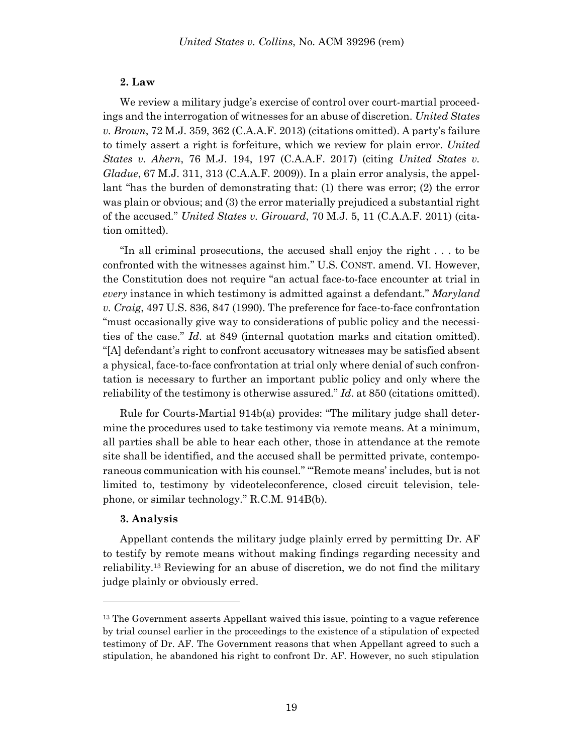## **2. Law**

We review a military judge's exercise of control over court-martial proceedings and the interrogation of witnesses for an abuse of discretion. *United States v. Brown*, 72 M.J. 359, 362 (C.A.A.F. 2013) (citations omitted). A party's failure to timely assert a right is forfeiture, which we review for plain error. *United States v. Ahern*, 76 M.J. 194, 197 (C.A.A.F. 2017) (citing *United States v. Gladue*, 67 M.J. 311, 313 (C.A.A.F. 2009)). In a plain error analysis, the appellant "has the burden of demonstrating that: (1) there was error; (2) the error was plain or obvious; and (3) the error materially prejudiced a substantial right of the accused." *United States v. Girouard*, 70 M.J. 5, 11 (C.A.A.F. 2011) (citation omitted).

"In all criminal prosecutions, the accused shall enjoy the right . . . to be confronted with the witnesses against him." U.S. CONST. amend. VI. However, the Constitution does not require "an actual face-to-face encounter at trial in *every* instance in which testimony is admitted against a defendant." *Maryland v. Craig*, 497 U.S. 836, 847 (1990). The preference for face-to-face confrontation "must occasionally give way to considerations of public policy and the necessities of the case." *Id*. at 849 (internal quotation marks and citation omitted). "[A] defendant's right to confront accusatory witnesses may be satisfied absent a physical, face-to-face confrontation at trial only where denial of such confrontation is necessary to further an important public policy and only where the reliability of the testimony is otherwise assured." *Id*. at 850 (citations omitted).

Rule for Courts-Martial 914b(a) provides: "The military judge shall determine the procedures used to take testimony via remote means. At a minimum, all parties shall be able to hear each other, those in attendance at the remote site shall be identified, and the accused shall be permitted private, contemporaneous communication with his counsel." "'Remote means' includes, but is not limited to, testimony by videoteleconference, closed circuit television, telephone, or similar technology." R.C.M. 914B(b).

#### **3. Analysis**

l

Appellant contends the military judge plainly erred by permitting Dr. AF to testify by remote means without making findings regarding necessity and reliability.<sup>13</sup> Reviewing for an abuse of discretion, we do not find the military judge plainly or obviously erred.

<sup>&</sup>lt;sup>13</sup> The Government asserts Appellant waived this issue, pointing to a vague reference by trial counsel earlier in the proceedings to the existence of a stipulation of expected testimony of Dr. AF. The Government reasons that when Appellant agreed to such a stipulation, he abandoned his right to confront Dr. AF. However, no such stipulation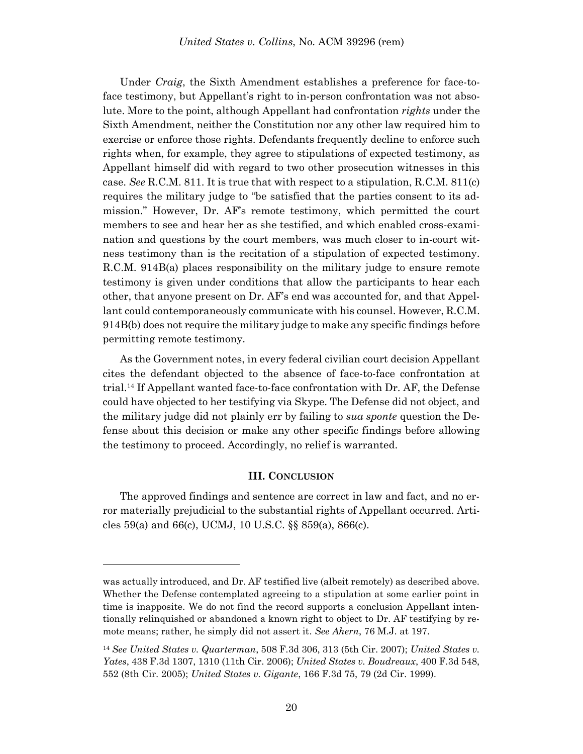Under *Craig*, the Sixth Amendment establishes a preference for face-toface testimony, but Appellant's right to in-person confrontation was not absolute. More to the point, although Appellant had confrontation *rights* under the Sixth Amendment, neither the Constitution nor any other law required him to exercise or enforce those rights. Defendants frequently decline to enforce such rights when, for example, they agree to stipulations of expected testimony, as Appellant himself did with regard to two other prosecution witnesses in this case. *See* R.C.M. 811. It is true that with respect to a stipulation, R.C.M. 811(c) requires the military judge to "be satisfied that the parties consent to its admission." However, Dr. AF's remote testimony, which permitted the court members to see and hear her as she testified, and which enabled cross-examination and questions by the court members, was much closer to in-court witness testimony than is the recitation of a stipulation of expected testimony. R.C.M. 914B(a) places responsibility on the military judge to ensure remote testimony is given under conditions that allow the participants to hear each other, that anyone present on Dr. AF's end was accounted for, and that Appellant could contemporaneously communicate with his counsel. However, R.C.M. 914B(b) does not require the military judge to make any specific findings before permitting remote testimony.

As the Government notes, in every federal civilian court decision Appellant cites the defendant objected to the absence of face-to-face confrontation at trial.<sup>14</sup> If Appellant wanted face-to-face confrontation with Dr. AF, the Defense could have objected to her testifying via Skype. The Defense did not object, and the military judge did not plainly err by failing to *sua sponte* question the Defense about this decision or make any other specific findings before allowing the testimony to proceed. Accordingly, no relief is warranted.

## **III. CONCLUSION**

The approved findings and sentence are correct in law and fact, and no error materially prejudicial to the substantial rights of Appellant occurred. Articles 59(a) and 66(c), UCMJ, 10 U.S.C. §§ 859(a), 866(c).

was actually introduced, and Dr. AF testified live (albeit remotely) as described above. Whether the Defense contemplated agreeing to a stipulation at some earlier point in time is inapposite. We do not find the record supports a conclusion Appellant intentionally relinquished or abandoned a known right to object to Dr. AF testifying by remote means; rather, he simply did not assert it. *See Ahern*, 76 M.J. at 197.

<sup>14</sup> *See United States v. Quarterman*, 508 F.3d 306, 313 (5th Cir. 2007); *United States v. Yates*, 438 F.3d 1307, 1310 (11th Cir. 2006); *United States v. Boudreaux*, 400 F.3d 548, 552 (8th Cir. 2005); *United States v. Gigante*, 166 F.3d 75, 79 (2d Cir. 1999).